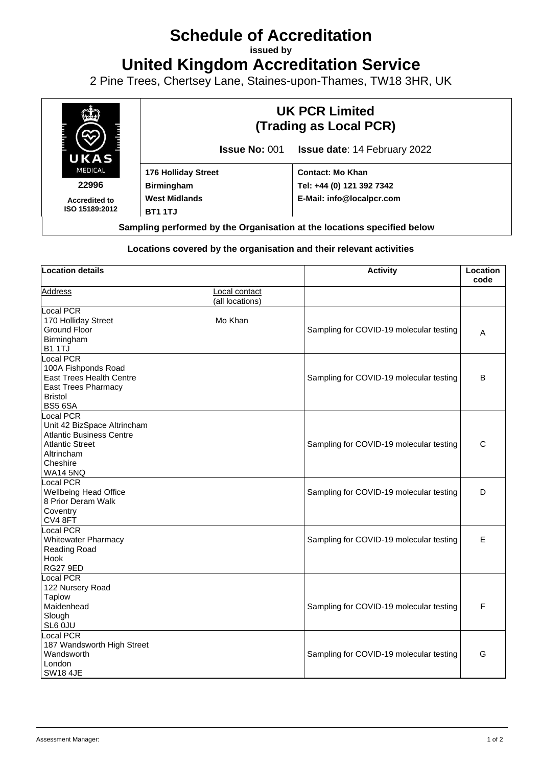## **Schedule of Accreditation**

**issued by**

**United Kingdom Accreditation Service**

2 Pine Trees, Chertsey Lane, Staines-upon-Thames, TW18 3HR, UK



## **Locations covered by the organisation and their relevant activities**

| <b>Location details</b>         |                                  | <b>Activity</b>                         | Location<br>code |
|---------------------------------|----------------------------------|-----------------------------------------|------------------|
| <b>Address</b>                  | Local contact<br>(all locations) |                                         |                  |
| <b>Local PCR</b>                |                                  |                                         |                  |
| 170 Holliday Street             | Mo Khan                          |                                         |                  |
| Ground Floor                    |                                  | Sampling for COVID-19 molecular testing | Α                |
| Birmingham                      |                                  |                                         |                  |
| <b>B1 1TJ</b>                   |                                  |                                         |                  |
| <b>Local PCR</b>                |                                  |                                         |                  |
| 100A Fishponds Road             |                                  |                                         |                  |
| <b>East Trees Health Centre</b> |                                  | Sampling for COVID-19 molecular testing | B                |
| East Trees Pharmacy             |                                  |                                         |                  |
| <b>Bristol</b>                  |                                  |                                         |                  |
| <b>BS5 6SA</b>                  |                                  |                                         |                  |
| Local PCR                       |                                  |                                         |                  |
| Unit 42 BizSpace Altrincham     |                                  |                                         |                  |
| <b>Atlantic Business Centre</b> |                                  |                                         |                  |
| <b>Atlantic Street</b>          |                                  | Sampling for COVID-19 molecular testing | C                |
| Altrincham                      |                                  |                                         |                  |
| Cheshire                        |                                  |                                         |                  |
| <b>WA14 5NQ</b>                 |                                  |                                         |                  |
| <b>Local PCR</b>                |                                  |                                         |                  |
| Wellbeing Head Office           |                                  | Sampling for COVID-19 molecular testing | D                |
| 8 Prior Deram Walk              |                                  |                                         |                  |
| Coventry                        |                                  |                                         |                  |
| CV4 8FT                         |                                  |                                         |                  |
| <b>Local PCR</b>                |                                  |                                         |                  |
| <b>Whitewater Pharmacy</b>      |                                  | Sampling for COVID-19 molecular testing | E                |
| Reading Road                    |                                  |                                         |                  |
| Hook                            |                                  |                                         |                  |
| <b>RG27 9ED</b>                 |                                  |                                         |                  |
| <b>Local PCR</b>                |                                  |                                         |                  |
| 122 Nursery Road                |                                  |                                         |                  |
| <b>Taplow</b>                   |                                  |                                         |                  |
| Maidenhead                      |                                  | Sampling for COVID-19 molecular testing | F                |
| Slough                          |                                  |                                         |                  |
| SL6 0JU                         |                                  |                                         |                  |
| Local PCR                       |                                  |                                         |                  |
| 187 Wandsworth High Street      |                                  |                                         |                  |
| Wandsworth                      |                                  | Sampling for COVID-19 molecular testing | G                |
| London                          |                                  |                                         |                  |
| <b>SW18 4JE</b>                 |                                  |                                         |                  |